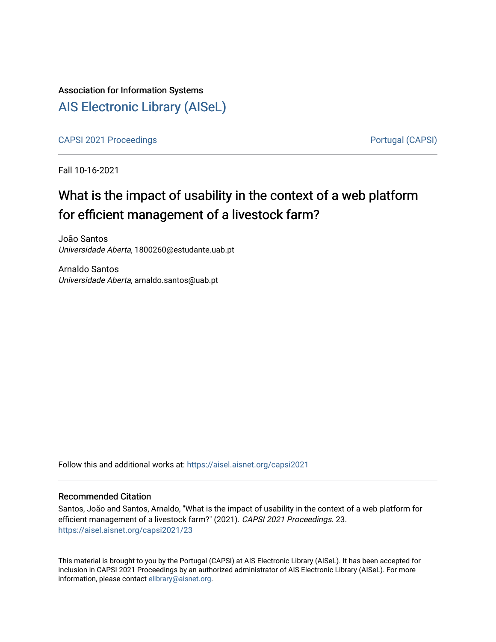# Association for Information Systems [AIS Electronic Library \(AISeL\)](https://aisel.aisnet.org/)

[CAPSI 2021 Proceedings](https://aisel.aisnet.org/capsi2021) **Portugal (CAPSI)** Portugal (CAPSI)

Fall 10-16-2021

# What is the impact of usability in the context of a web platform for efficient management of a livestock farm?

João Santos Universidade Aberta, 1800260@estudante.uab.pt

Arnaldo Santos Universidade Aberta, arnaldo.santos@uab.pt

Follow this and additional works at: [https://aisel.aisnet.org/capsi2021](https://aisel.aisnet.org/capsi2021?utm_source=aisel.aisnet.org%2Fcapsi2021%2F23&utm_medium=PDF&utm_campaign=PDFCoverPages)

# Recommended Citation

Santos, João and Santos, Arnaldo, "What is the impact of usability in the context of a web platform for efficient management of a livestock farm?" (2021). CAPSI 2021 Proceedings. 23. [https://aisel.aisnet.org/capsi2021/23](https://aisel.aisnet.org/capsi2021/23?utm_source=aisel.aisnet.org%2Fcapsi2021%2F23&utm_medium=PDF&utm_campaign=PDFCoverPages) 

This material is brought to you by the Portugal (CAPSI) at AIS Electronic Library (AISeL). It has been accepted for inclusion in CAPSI 2021 Proceedings by an authorized administrator of AIS Electronic Library (AISeL). For more information, please contact [elibrary@aisnet.org.](mailto:elibrary@aisnet.org%3E)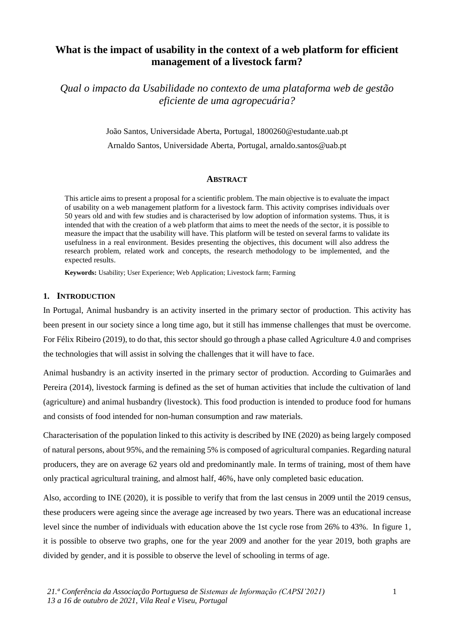# **What is the impact of usability in the context of a web platform for efficient management of a livestock farm?**

*Qual o impacto da Usabilidade no contexto de uma plataforma web de gestão eficiente de uma agropecuária?*

> João Santos, Universidade Aberta, Portugal, 1800260@estudante.uab.pt Arnaldo Santos, Universidade Aberta, Portugal, arnaldo.santos@uab.pt

#### **ABSTRACT**

This article aims to present a proposal for a scientific problem. The main objective is to evaluate the impact of usability on a web management platform for a livestock farm. This activity comprises individuals over 50 years old and with few studies and is characterised by low adoption of information systems. Thus, it is intended that with the creation of a web platform that aims to meet the needs of the sector, it is possible to measure the impact that the usability will have. This platform will be tested on several farms to validate its usefulness in a real environment. Besides presenting the objectives, this document will also address the research problem, related work and concepts, the research methodology to be implemented, and the expected results.

**Keywords:** Usability; User Experience; Web Application; Livestock farm; Farming

# **1. INTRODUCTION**

In Portugal, Animal husbandry is an activity inserted in the primary sector of production. This activity has been present in our society since a long time ago, but it still has immense challenges that must be overcome. For Félix Ribeiro (2019), to do that, this sector should go through a phase called Agriculture 4.0 and comprises the technologies that will assist in solving the challenges that it will have to face.

Animal husbandry is an activity inserted in the primary sector of production. According to Guimarães and Pereira (2014), livestock farming is defined as the set of human activities that include the cultivation of land (agriculture) and animal husbandry (livestock). This food production is intended to produce food for humans and consists of food intended for non-human consumption and raw materials.

Characterisation of the population linked to this activity is described by INE (2020) as being largely composed of natural persons, about 95%, and the remaining 5% is composed of agricultural companies. Regarding natural producers, they are on average 62 years old and predominantly male. In terms of training, most of them have only practical agricultural training, and almost half, 46%, have only completed basic education.

Also, according to INE (2020), it is possible to verify that from the last census in 2009 until the 2019 census, these producers were ageing since the average age increased by two years. There was an educational increase level since the number of individuals with education above the 1st cycle rose from 26% to 43%. In figure 1, it is possible to observe two graphs, one for the year 2009 and another for the year 2019, both graphs are divided by gender, and it is possible to observe the level of schooling in terms of age.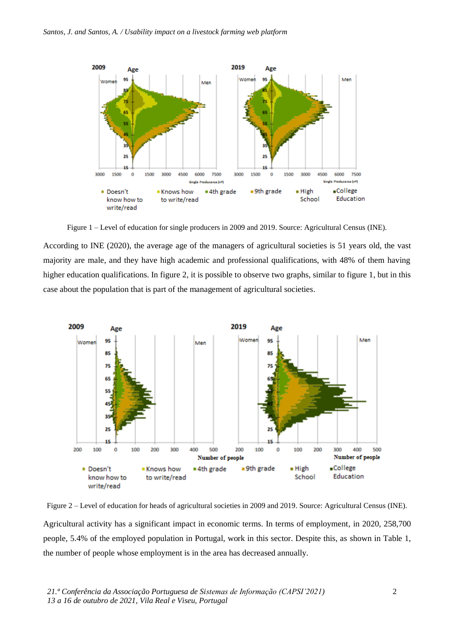

Figure 1 – Level of education for single producers in 2009 and 2019. Source: Agricultural Census (INE).

According to INE (2020), the average age of the managers of agricultural societies is 51 years old, the vast majority are male, and they have high academic and professional qualifications, with 48% of them having higher education qualifications. In figure 2, it is possible to observe two graphs, similar to figure 1, but in this case about the population that is part of the management of agricultural societies.



Figure 2 – Level of education for heads of agricultural societies in 2009 and 2019. Source: Agricultural Census (INE). Agricultural activity has a significant impact in economic terms. In terms of employment, in 2020, 258,700 people, 5.4% of the employed population in Portugal, work in this sector. Despite this, as shown in Table 1, the number of people whose employment is in the area has decreased annually.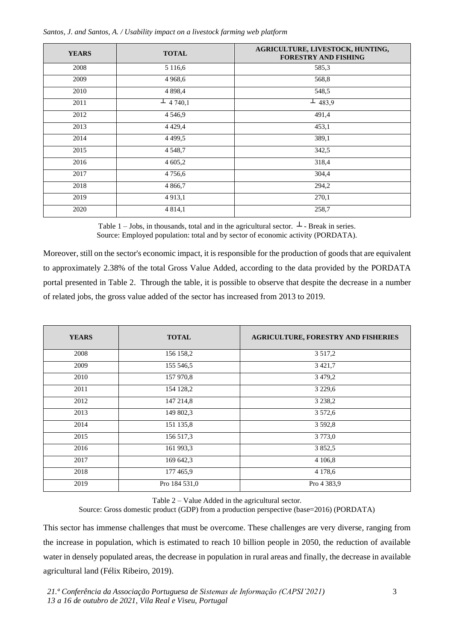| <b>YEARS</b> | <b>TOTAL</b>    | AGRICULTURE, LIVESTOCK, HUNTING,<br><b>FORESTRY AND FISHING</b> |
|--------------|-----------------|-----------------------------------------------------------------|
| 2008         | 5 1 1 6 .6      | 585,3                                                           |
| 2009         | 4 9 68, 6       | 568,8                                                           |
| 2010         | 4 8 9 8,4       | 548,5                                                           |
| 2011         | $\perp$ 4 740,1 | $\perp$ 483,9                                                   |
| 2012         | 4 5 4 6 9       | 491,4                                                           |
| 2013         | 4 4 2 9 , 4     | 453,1                                                           |
| 2014         | 4 4 9 9.5       | 389,1                                                           |
| 2015         | 4 5 4 8 , 7     | 342,5                                                           |
| 2016         | 4 605,2         | 318,4                                                           |
| 2017         | 4756,6          | 304,4                                                           |
| 2018         | 4 8 6 6,7       | 294,2                                                           |
| 2019         | 4 9 1 3 , 1     | 270,1                                                           |
| 2020         | 4 8 1 4 , 1     | 258,7                                                           |

Table 1 – Jobs, in thousands, total and in the agricultural sector.  $\perp$  - Break in series. Source: Employed population: total and by sector of economic activity (PORDATA).

Moreover, still on the sector's economic impact, it is responsible for the production of goods that are equivalent to approximately 2.38% of the total Gross Value Added, according to the data provided by the PORDATA portal presented in Table 2. Through the table, it is possible to observe that despite the decrease in a number of related jobs, the gross value added of the sector has increased from 2013 to 2019.

| <b>YEARS</b> | <b>TOTAL</b>  | <b>AGRICULTURE, FORESTRY AND FISHERIES</b> |
|--------------|---------------|--------------------------------------------|
| 2008         | 156 158,2     | 3 5 1 7 .2                                 |
| 2009         | 155 546,5     | 3 4 2 1,7                                  |
| 2010         | 157 970,8     | 3 4 7 9 , 2                                |
| 2011         | 154 128,2     | 3 2 2 9 , 6                                |
| 2012         | 147 214,8     | 3 2 3 8 , 2                                |
| 2013         | 149 802,3     | 3 5 7 2, 6                                 |
| 2014         | 151 135,8     | 3 5 9 2, 8                                 |
| 2015         | 156 517,3     | 3 7 7 3, 0                                 |
| 2016         | 161 993,3     | 3852,5                                     |
| 2017         | 169 642,3     | 4 106,8                                    |
| 2018         | 177 465,9     | 4 1 7 8 , 6                                |
| 2019         | Pro 184 531,0 | Pro 4 383,9                                |

Table 2 – Value Added in the agricultural sector.

Source: Gross domestic product (GDP) from a production perspective (base=2016) (PORDATA)

This sector has immense challenges that must be overcome. These challenges are very diverse, ranging from the increase in population, which is estimated to reach 10 billion people in 2050, the reduction of available water in densely populated areas, the decrease in population in rural areas and finally, the decrease in available agricultural land (Félix Ribeiro, 2019).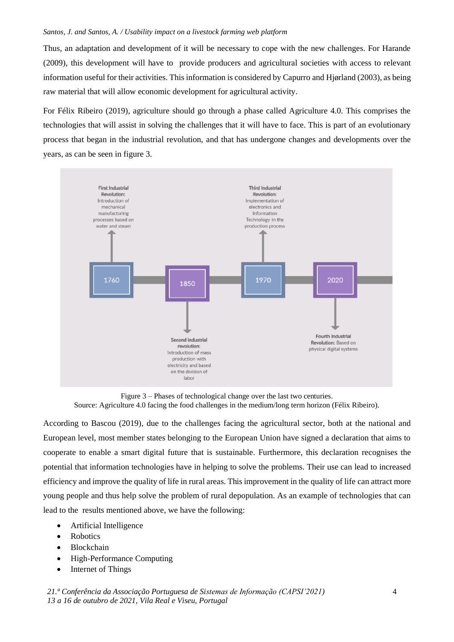Thus, an adaptation and development of it will be necessary to cope with the new challenges. For Harande (2009), this development will have to provide producers and agricultural societies with access to relevant information useful for their activities. This information is considered by Capurro and Hjørland (2003), as being raw material that will allow economic development for agricultural activity.

For Félix Ribeiro (2019), agriculture should go through a phase called Agriculture 4.0. This comprises the technologies that will assist in solving the challenges that it will have to face. This is part of an evolutionary process that began in the industrial revolution, and that has undergone changes and developments over the years, as can be seen in figure 3.



Figure 3 – Phases of technological change over the last two centuries. Source: Agriculture 4.0 facing the food challenges in the medium/long term horizon (Félix Ribeiro).

According to Bascou (2019), due to the challenges facing the agricultural sector, both at the national and European level, most member states belonging to the European Union have signed a declaration that aims to cooperate to enable a smart digital future that is sustainable. Furthermore, this declaration recognises the potential that information technologies have in helping to solve the problems. Their use can lead to increased efficiency and improve the quality of life in rural areas. This improvement in the quality of life can attract more young people and thus help solve the problem of rural depopulation. As an example of technologies that can lead to the results mentioned above, we have the following:

- Artificial Intelligence
- Robotics
- Blockchain
- High-Performance Computing
- Internet of Things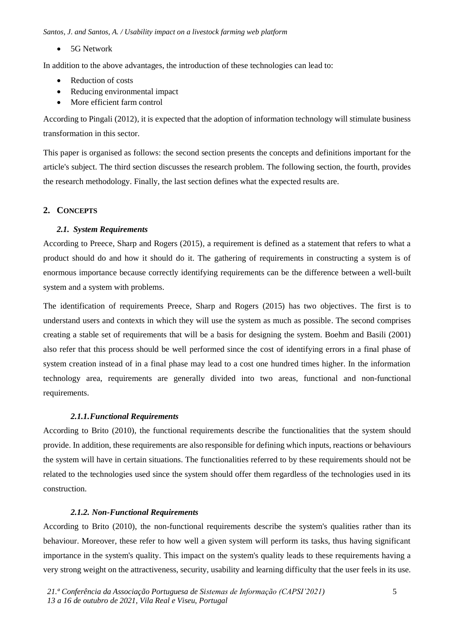• 5G Network

In addition to the above advantages, the introduction of these technologies can lead to:

- Reduction of costs
- Reducing environmental impact
- More efficient farm control

According to Pingali (2012), it is expected that the adoption of information technology will stimulate business transformation in this sector.

This paper is organised as follows: the second section presents the concepts and definitions important for the article's subject. The third section discusses the research problem. The following section, the fourth, provides the research methodology. Finally, the last section defines what the expected results are.

#### **2. CONCEPTS**

# *2.1. System Requirements*

According to Preece, Sharp and Rogers (2015), a requirement is defined as a statement that refers to what a product should do and how it should do it. The gathering of requirements in constructing a system is of enormous importance because correctly identifying requirements can be the difference between a well-built system and a system with problems.

The identification of requirements Preece, Sharp and Rogers (2015) has two objectives. The first is to understand users and contexts in which they will use the system as much as possible. The second comprises creating a stable set of requirements that will be a basis for designing the system. Boehm and Basili (2001) also refer that this process should be well performed since the cost of identifying errors in a final phase of system creation instead of in a final phase may lead to a cost one hundred times higher. In the information technology area, requirements are generally divided into two areas, functional and non-functional requirements.

#### *2.1.1.Functional Requirements*

According to Brito (2010), the functional requirements describe the functionalities that the system should provide. In addition, these requirements are also responsible for defining which inputs, reactions or behaviours the system will have in certain situations. The functionalities referred to by these requirements should not be related to the technologies used since the system should offer them regardless of the technologies used in its construction.

### *2.1.2. Non-Functional Requirements*

According to Brito (2010), the non-functional requirements describe the system's qualities rather than its behaviour. Moreover, these refer to how well a given system will perform its tasks, thus having significant importance in the system's quality. This impact on the system's quality leads to these requirements having a very strong weight on the attractiveness, security, usability and learning difficulty that the user feels in its use.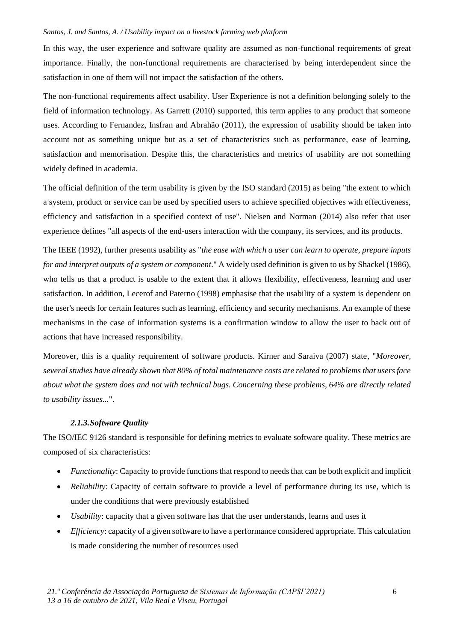In this way, the user experience and software quality are assumed as non-functional requirements of great importance. Finally, the non-functional requirements are characterised by being interdependent since the satisfaction in one of them will not impact the satisfaction of the others.

The non-functional requirements affect usability. User Experience is not a definition belonging solely to the field of information technology. As Garrett (2010) supported, this term applies to any product that someone uses. According to Fernandez, Insfran and Abrahão (2011), the expression of usability should be taken into account not as something unique but as a set of characteristics such as performance, ease of learning, satisfaction and memorisation. Despite this, the characteristics and metrics of usability are not something widely defined in academia.

The official definition of the term usability is given by the ISO standard (2015) as being "the extent to which a system, product or service can be used by specified users to achieve specified objectives with effectiveness, efficiency and satisfaction in a specified context of use". Nielsen and Norman (2014) also refer that user experience defines "all aspects of the end-users interaction with the company, its services, and its products.

The IEEE (1992), further presents usability as "*the ease with which a user can learn to operate, prepare inputs for and interpret outputs of a system or component*." A widely used definition is given to us by Shackel (1986), who tells us that a product is usable to the extent that it allows flexibility, effectiveness, learning and user satisfaction. In addition, Lecerof and Paterno (1998) emphasise that the usability of a system is dependent on the user's needs for certain features such as learning, efficiency and security mechanisms. An example of these mechanisms in the case of information systems is a confirmation window to allow the user to back out of actions that have increased responsibility.

Moreover, this is a quality requirement of software products. Kirner and Saraiva (2007) state, "*Moreover, several studies have already shown that 80% of total maintenance costs are related to problems that users face about what the system does and not with technical bugs. Concerning these problems, 64% are directly related to usability issues...*".

# *2.1.3.Software Quality*

The ISO/IEC 9126 standard is responsible for defining metrics to evaluate software quality. These metrics are composed of six characteristics:

- *Functionality*: Capacity to provide functions that respond to needs that can be both explicit and implicit
- *Reliability*: Capacity of certain software to provide a level of performance during its use, which is under the conditions that were previously established
- *Usability*: capacity that a given software has that the user understands, learns and uses it
- *Efficiency*: capacity of a given software to have a performance considered appropriate. This calculation is made considering the number of resources used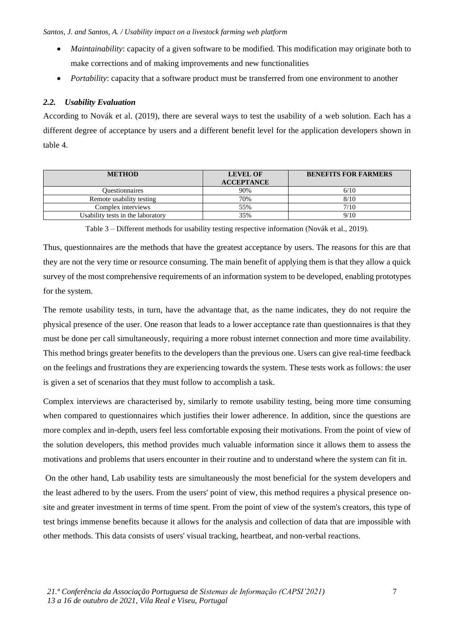- *Maintainability*: capacity of a given software to be modified. This modification may originate both to make corrections and of making improvements and new functionalities
- *Portability:* capacity that a software product must be transferred from one environment to another

#### *2.2. Usability Evaluation*

According to Novák et al. (2019), there are several ways to test the usability of a web solution. Each has a different degree of acceptance by users and a different benefit level for the application developers shown in table 4.

| <b>METHOD</b>                     | <b>LEVEL OF</b><br><b>ACCEPTANCE</b> | <b>BENEFITS FOR FARMERS</b> |
|-----------------------------------|--------------------------------------|-----------------------------|
| <b>Ouestionnaires</b>             | 90%                                  | 6/10                        |
| Remote usability testing          | 70%                                  | 8/10                        |
| Complex interviews                | 55%                                  | 7/10                        |
| Usability tests in the laboratory | 35%                                  | 9/10                        |

Table 3 – Different methods for usability testing respective information (Novák et al., 2019).

Thus, questionnaires are the methods that have the greatest acceptance by users. The reasons for this are that they are not the very time or resource consuming. The main benefit of applying them is that they allow a quick survey of the most comprehensive requirements of an information system to be developed, enabling prototypes for the system.

The remote usability tests, in turn, have the advantage that, as the name indicates, they do not require the physical presence of the user. One reason that leads to a lower acceptance rate than questionnaires is that they must be done per call simultaneously, requiring a more robust internet connection and more time availability. This method brings greater benefits to the developers than the previous one. Users can give real-time feedback on the feelings and frustrations they are experiencing towards the system. These tests work as follows: the user is given a set of scenarios that they must follow to accomplish a task.

Complex interviews are characterised by, similarly to remote usability testing, being more time consuming when compared to questionnaires which justifies their lower adherence. In addition, since the questions are more complex and in-depth, users feel less comfortable exposing their motivations. From the point of view of the solution developers, this method provides much valuable information since it allows them to assess the motivations and problems that users encounter in their routine and to understand where the system can fit in.

On the other hand, Lab usability tests are simultaneously the most beneficial for the system developers and the least adhered to by the users. From the users' point of view, this method requires a physical presence onsite and greater investment in terms of time spent. From the point of view of the system's creators, this type of test brings immense benefits because it allows for the analysis and collection of data that are impossible with other methods. This data consists of users' visual tracking, heartbeat, and non-verbal reactions.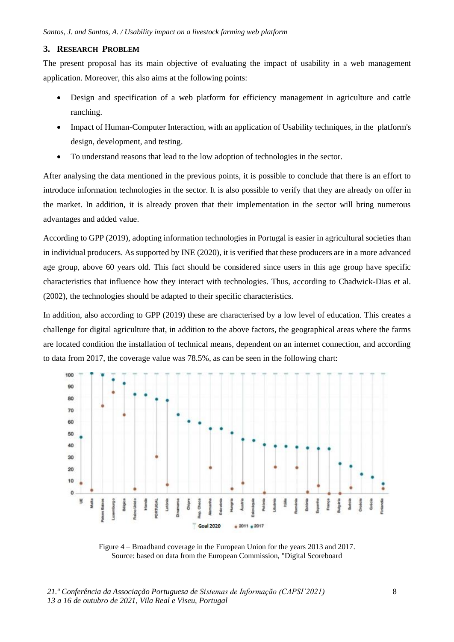## **3. RESEARCH PROBLEM**

The present proposal has its main objective of evaluating the impact of usability in a web management application. Moreover, this also aims at the following points:

- Design and specification of a web platform for efficiency management in agriculture and cattle ranching.
- Impact of Human-Computer Interaction, with an application of Usability techniques, in the platform's design, development, and testing.
- To understand reasons that lead to the low adoption of technologies in the sector.

After analysing the data mentioned in the previous points, it is possible to conclude that there is an effort to introduce information technologies in the sector. It is also possible to verify that they are already on offer in the market. In addition, it is already proven that their implementation in the sector will bring numerous advantages and added value.

According to GPP (2019), adopting information technologies in Portugal is easier in agricultural societies than in individual producers. As supported by INE (2020), it is verified that these producers are in a more advanced age group, above 60 years old. This fact should be considered since users in this age group have specific characteristics that influence how they interact with technologies. Thus, according to Chadwick-Dias et al. (2002), the technologies should be adapted to their specific characteristics.

In addition, also according to GPP (2019) these are characterised by a low level of education. This creates a challenge for digital agriculture that, in addition to the above factors, the geographical areas where the farms are located condition the installation of technical means, dependent on an internet connection, and according to data from 2017, the coverage value was 78.5%, as can be seen in the following chart:



Figure 4 – Broadband coverage in the European Union for the years 2013 and 2017. Source: based on data from the European Commission, "Digital Scoreboard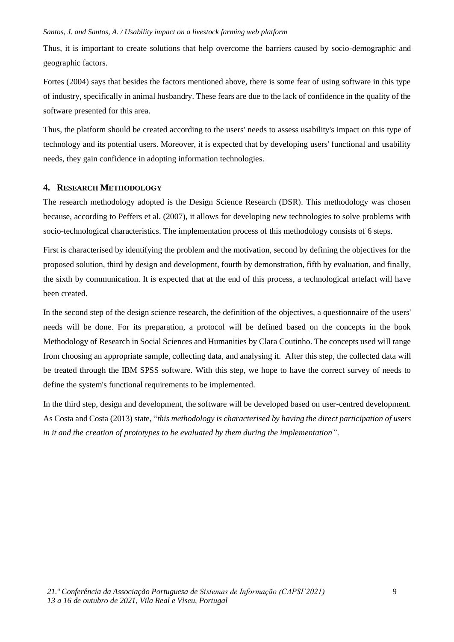Thus, it is important to create solutions that help overcome the barriers caused by socio-demographic and geographic factors.

Fortes (2004) says that besides the factors mentioned above, there is some fear of using software in this type of industry, specifically in animal husbandry. These fears are due to the lack of confidence in the quality of the software presented for this area.

Thus, the platform should be created according to the users' needs to assess usability's impact on this type of technology and its potential users. Moreover, it is expected that by developing users' functional and usability needs, they gain confidence in adopting information technologies.

# **4. RESEARCH METHODOLOGY**

The research methodology adopted is the Design Science Research (DSR). This methodology was chosen because, according to Peffers et al. (2007), it allows for developing new technologies to solve problems with socio-technological characteristics. The implementation process of this methodology consists of 6 steps.

First is characterised by identifying the problem and the motivation, second by defining the objectives for the proposed solution, third by design and development, fourth by demonstration, fifth by evaluation, and finally, the sixth by communication. It is expected that at the end of this process, a technological artefact will have been created.

In the second step of the design science research, the definition of the objectives, a questionnaire of the users' needs will be done. For its preparation, a protocol will be defined based on the concepts in the book Methodology of Research in Social Sciences and Humanities by Clara Coutinho. The concepts used will range from choosing an appropriate sample, collecting data, and analysing it. After this step, the collected data will be treated through the IBM SPSS software. With this step, we hope to have the correct survey of needs to define the system's functional requirements to be implemented.

In the third step, design and development, the software will be developed based on user-centred development. As Costa and Costa (2013) state, "*this methodology is characterised by having the direct participation of users in it and the creation of prototypes to be evaluated by them during the implementation"*.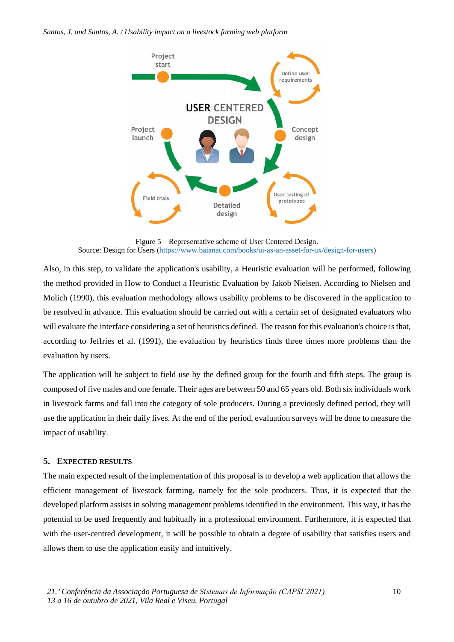

Figure 5 – Representative scheme of User Centered Design. Source: Design for Users [\(https://www.baianat.com/books/ui-as-an-asset-for-ux/design-for-users\)](https://www.baianat.com/books/ui-as-an-asset-for-ux/design-for-users)

Also, in this step, to validate the application's usability, a Heuristic evaluation will be performed, following the method provided in How to Conduct a Heuristic Evaluation by Jakob Nielsen. According to Nielsen and Molich (1990), this evaluation methodology allows usability problems to be discovered in the application to be resolved in advance. This evaluation should be carried out with a certain set of designated evaluators who will evaluate the interface considering a set of heuristics defined. The reason for this evaluation's choice is that, according to Jeffries et al. (1991), the evaluation by heuristics finds three times more problems than the evaluation by users.

The application will be subject to field use by the defined group for the fourth and fifth steps. The group is composed of five males and one female. Their ages are between 50 and 65 years old. Both six individuals work in livestock farms and fall into the category of sole producers. During a previously defined period, they will use the application in their daily lives. At the end of the period, evaluation surveys will be done to measure the impact of usability.

# **5. EXPECTED RESULTS**

The main expected result of the implementation of this proposal is to develop a web application that allows the efficient management of livestock farming, namely for the sole producers. Thus, it is expected that the developed platform assists in solving management problems identified in the environment. This way, it has the potential to be used frequently and habitually in a professional environment. Furthermore, it is expected that with the user-centred development, it will be possible to obtain a degree of usability that satisfies users and allows them to use the application easily and intuitively.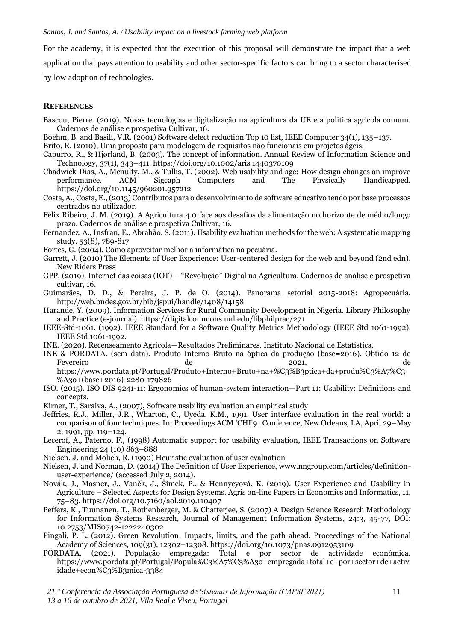For the academy, it is expected that the execution of this proposal will demonstrate the impact that a web application that pays attention to usability and other sector-specific factors can bring to a sector characterised by low adoption of technologies.

#### **REFERENCES**

- Bascou, Pierre. (2019). Novas tecnologias e digitalização na agricultura da UE e a politica agrícola comum. Cadernos de análise e prospetiva Cultivar, 16.
- Boehm, B. and Basili, V.R. (2001) Software defect reduction Top 10 list, IEEE Computer 34(1), 135–137.
- Brito, R. (2010), Uma proposta para modelagem de requisitos não funcionais em projetos ágeis.
- Capurro, R., & Hjørland, B. (2003). The concept of information. Annual Review of Information Science and Technology, 37(1), 343–411[. https://doi.org/10.1002/aris.1440370109](https://doi.org/10.1002/aris.1440370109)
- Chadwick-Dias, A., Mcnulty, M., & Tullis, T. (2002). Web usability and age: How design changes an improve performance. ACM Sigcaph Computers and The Physically Handicapped. <https://doi.org/10.1145/960201.957212>
- Costa, A., Costa, E., (2013) Contributos para o desenvolvimento de software educativo tendo por base processos centrados no utilizador.
- Félix Ribeiro, J. M. (2019). A Agricultura 4.0 face aos desafios da alimentação no horizonte de médio/longo prazo. Cadernos de análise e prospetiva Cultivar, 16.
- Fernandez, A., Insfran, E., Abrahão, S. (2011). Usability evaluation methods for the web: A systematic mapping study. 53(8), 789-817
- Fortes, G. (2004). Como aproveitar melhor a informática na pecuária.
- Garrett, J. (2010) The Elements of User Experience: User-centered design for the web and beyond (2nd edn). New Riders Press
- GPP. (2019). Internet das coisas (IOT) "Revolução" Digital na Agricultura. Cadernos de análise e prospetiva cultivar, 16.
- Guimarães, D. D., & Pereira, J. P. de O. (2014). Panorama setorial 2015-2018: Agropecuária. <http://web.bndes.gov.br/bib/jspui/handle/1408/14158>
- Harande, Y. (2009). Information Services for Rural Community Development in Nigeria. Library Philosophy and Practice (e-journal).<https://digitalcommons.unl.edu/libphilprac/271>
- IEEE-Std-1061. (1992). IEEE Standard for a Software Quality Metrics Methodology (IEEE Std 1061-1992). IEEE Std 1061-1992.
- INE. (2020). Recenseamento Agrícola—Resultados Preliminares. Instituto Nacional de Estatística.
- INE & PORDATA. (sem data). Produto Interno Bruto na óptica da produção (base=2016). Obtido 12 de Fevereiro de 2021, de

[https://www.pordata.pt/Portugal/Produto+Interno+Bruto+na+%C3%B3ptica+da+produ%C3%A7%C3](https://www.pordata.pt/Portugal/Produto+Interno+Bruto+na+%C3%B3ptica+da+produ%C3%A7%C3%A3o+(base+2016)-2280-179826) [%A3o+\(base+2016\)-2280-179826](https://www.pordata.pt/Portugal/Produto+Interno+Bruto+na+%C3%B3ptica+da+produ%C3%A7%C3%A3o+(base+2016)-2280-179826)

- ISO. (2015). ISO DIS 9241-11: Ergonomics of human-system interaction—Part 11: Usability: Definitions and concepts.
- Kirner, T., Saraiva, A., (2007), Software usability evaluation an empirical study
- Jeffries, R.J., Miller, J.R., Wharton, C., Uyeda, K.M., 1991. User interface evaluation in the real world: a comparison of four techniques. In: Proceedings ACM 'CHI'91 Conference, New Orleans, LA, April 29–May 2, 1991, pp. 119–124.
- Lecerof, A., Paterno, F., (1998) Automatic support for usability evaluation, IEEE Transactions on Software Engineering 24 (10) 863–888
- Nielsen, J. and Molich, R. (1990) Heuristic evaluation of user evaluation
- Nielsen, J. and Norman, D. (2014) The Definition of User Experience, www.nngroup.com/articles/definitionuser-experience/ (accessed July 2, 2014).
- Novák, J., Masner, J., Vaněk, J., Šimek, P., & Hennyeyová, K. (2019). User Experience and Usability in Agriculture – Selected Aspects for Design Systems. Agris on-line Papers in Economics and Informatics, 11, 75–83.<https://doi.org/10.7160/aol.2019.110407>
- Peffers, K., Tuunanen, T., Rothenberger, M. & Chatterjee, S. (2007) A Design Science Research Methodology for Information Systems Research, Journal of Management Information Systems, 24:3, 45-77, DOI: 10.2753/MIS0742-1222240302
- Pingali, P. L. (2012). Green Revolution: Impacts, limits, and the path ahead. Proceedings of the National Academy of Sciences, 109(31), 12302–12308[. https://doi.org/10.1073/pnas.0912953109](https://doi.org/10.1073/pnas.0912953109)
- PORDATA. (2021). População empregada: Total e por sector de actividade económica. [https://www.pordata.pt/Portugal/Popula%C3%A7%C3%A3o+empregada+total+e+por+sector+de+activ](https://www.pordata.pt/Portugal/Popula%C3%A7%C3%A3o+empregada+total+e+por+sector+de+actividade+econ%C3%B3mica-3384) [idade+econ%C3%B3mica-3384](https://www.pordata.pt/Portugal/Popula%C3%A7%C3%A3o+empregada+total+e+por+sector+de+actividade+econ%C3%B3mica-3384)

*21.ª Conferência da Associação Portuguesa de Sistemas de Informação (CAPSI'2021) 13 a 16 de outubro de 2021, Vila Real e Viseu, Portugal*